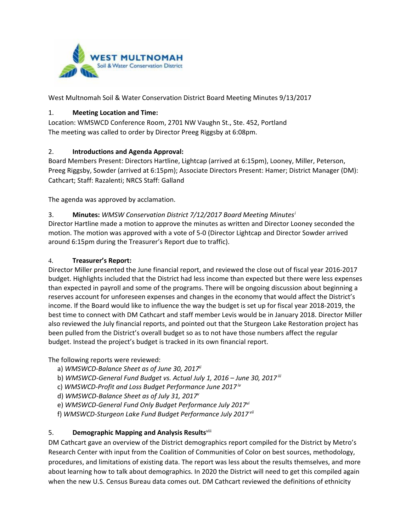

West Multnomah Soil & Water Conservation District Board Meeting Minutes 9/13/2017

#### 1. **Meeting Location and Time:**

Location: WMSWCD Conference Room, 2701 NW Vaughn St., Ste. 452, Portland The meeting was called to order by Director Preeg Riggsby at 6:08pm.

#### 2. **Introductions and Agenda Approval:**

Board Members Present: Directors Hartline, Lightcap (arrived at 6:15pm), Looney, Miller, Peterson, Preeg Riggsby, Sowder (arrived at 6:15pm); Associate Directors Present: Hamer; District Manager (DM): Cathcart; Staff: Razalenti; NRCS Staff: Galland

The agenda was approved by acclamation.

3. **Minutes:** *WMSW Conservation District 7/12/2017 Board Meeting Minutes[i](#page-2-0)* Director Hartline made a motion to approve the minutes as written and Director Looney seconded the motion. The motion was approved with a vote of 5-0 (Director Lightcap and Director Sowder arrived around 6:15pm during the Treasurer's Report due to traffic).

#### 4. **Treasurer's Report:**

Director Miller presented the June financial report, and reviewed the close out of fiscal year 2016-2017 budget. Highlights included that the District had less income than expected but there were less expenses than expected in payroll and some of the programs. There will be ongoing discussion about beginning a reserves account for unforeseen expenses and changes in the economy that would affect the District's income. If the Board would like to influence the way the budget is set up for fiscal year 2018-2019, the best time to connect with DM Cathcart and staff member Levis would be in January 2018. Director Miller also reviewed the July financial reports, and pointed out that the Sturgeon Lake Restoration project has been pulled from the District's overall budget so as to not have those numbers affect the regular budget. Instead the project's budget is tracked in its own financial report.

The following reports were reviewed:

- a) *WMSWCD-Balance Sheet as of June 30, 2017ii*
- b) *WMSWCD-General Fund Budget vs. Actual July 1, 2016 – June 30, 2017 iii*
- c) *WMSWCD-Profit and Loss Budget Performance June 2017 iv*
- d) *WMSWCD-Balance Sheet as of July 31, 2017v*
- e) *WMSWCD-General Fund Only Budget Performance July 2017vi*
- f) *WMSWCD-Sturgeon Lake Fund Budget Performance July 2017 vii*

## 5. **Demographic Mapping and Analysis Results**viii

DM Cathcart gave an overview of the District demographics report compiled for the District by Metro's Research Center with input from the Coalition of Communities of Color on best sources, methodology, procedures, and limitations of existing data. The report was less about the results themselves, and more about learning how to talk about demographics. In 2020 the District will need to get this compiled again when the new U.S. Census Bureau data comes out. DM Cathcart reviewed the definitions of ethnicity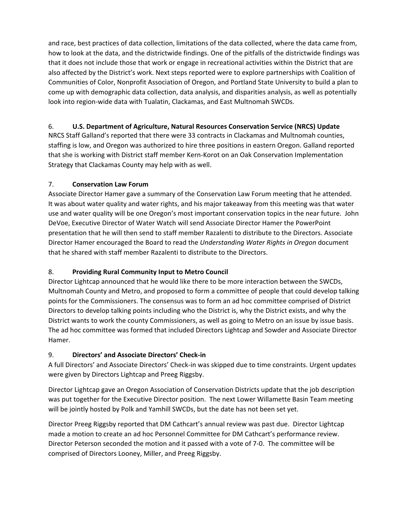and race, best practices of data collection, limitations of the data collected, where the data came from, how to look at the data, and the districtwide findings. One of the pitfalls of the districtwide findings was that it does not include those that work or engage in recreational activities within the District that are also affected by the District's work. Next steps reported were to explore partnerships with Coalition of Communities of Color, Nonprofit Association of Oregon, and Portland State University to build a plan to come up with demographic data collection, data analysis, and disparities analysis, as well as potentially look into region-wide data with Tualatin, Clackamas, and East Multnomah SWCDs.

# 6. **U.S. Department of Agriculture, Natural Resources Conservation Service (NRCS) Update**

NRCS Staff Galland's reported that there were 33 contracts in Clackamas and Multnomah counties, staffing is low, and Oregon was authorized to hire three positions in eastern Oregon. Galland reported that she is working with District staff member Kern-Korot on an Oak Conservation Implementation Strategy that Clackamas County may help with as well.

## 7. **Conservation Law Forum**

Associate Director Hamer gave a summary of the Conservation Law Forum meeting that he attended. It was about water quality and water rights, and his major takeaway from this meeting was that water use and water quality will be one Oregon's most important conservation topics in the near future. John DeVoe, Executive Director of Water Watch will send Associate Director Hamer the PowerPoint presentation that he will then send to staff member Razalenti to distribute to the Directors. Associate Director Hamer encouraged the Board to read the *Understanding Water Rights in Oregon* document that he shared with staff member Razalenti to distribute to the Directors.

# 8. **Providing Rural Community Input to Metro Council**

Director Lightcap announced that he would like there to be more interaction between the SWCDs, Multnomah County and Metro, and proposed to form a committee of people that could develop talking points for the Commissioners. The consensus was to form an ad hoc committee comprised of District Directors to develop talking points including who the District is, why the District exists, and why the District wants to work the county Commissioners, as well as going to Metro on an issue by issue basis. The ad hoc committee was formed that included Directors Lightcap and Sowder and Associate Director Hamer.

## 9. **Directors' and Associate Directors' Check-in**

A full Directors' and Associate Directors' Check-in was skipped due to time constraints. Urgent updates were given by Directors Lightcap and Preeg Riggsby.

Director Lightcap gave an Oregon Association of Conservation Districts update that the job description was put together for the Executive Director position. The next Lower Willamette Basin Team meeting will be jointly hosted by Polk and Yamhill SWCDs, but the date has not been set yet.

Director Preeg Riggsby reported that DM Cathcart's annual review was past due. Director Lightcap made a motion to create an ad hoc Personnel Committee for DM Cathcart's performance review. Director Peterson seconded the motion and it passed with a vote of 7-0. The committee will be comprised of Directors Looney, Miller, and Preeg Riggsby.